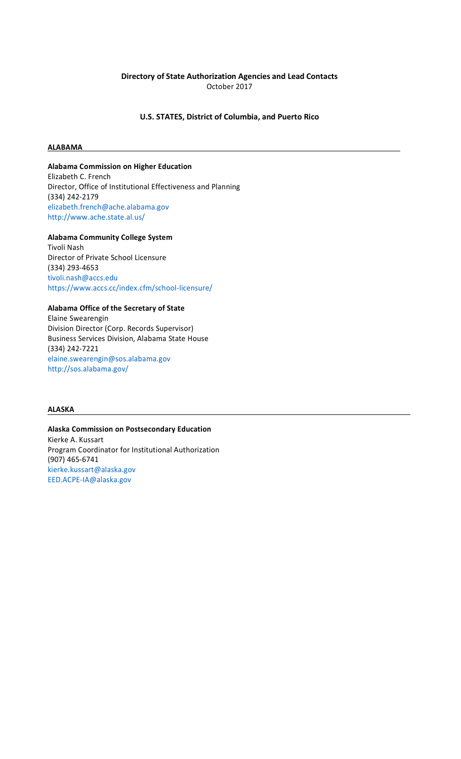# **Directory of State Authorization Agencies and Lead Contacts** October 2017

## **U.S. STATES, District of Columbia, and Puerto Rico**

#### **ALABAMA**

## **Alabama Commission on Higher Education**

Elizabeth C. French Director, Office of Institutional Effectiveness and Planning (334) 242-2179 elizabeth.french@ache.alabama.go[v](http://www.ache.state.al.us/) <http://www.ache.state.al.us/>

**Alabama Community College System** Tivoli Nash Director of Private School Licensure (334) 293-4653 [tivoli.nash@accs.edu](mailto:nash@accs.edu) [https://www.accs.cc/index.cfm/school-licensure/](http://www.accs.cc/index.cfm/)

## **Alabama Office of the Secretary of State**

Elaine Swearengin Division Director (Corp. Records Supervisor) Business Services Division, Alabama State House (334) 242-7221 [elaine.swearengin@sos.alabama.gov](mailto:swearengin@sos.alabama.gov)  [http://sos.alabama.gov/](mailto:swearengin@sos.alabama.gov)

# **ALASKA**

**Alaska Commission on Postsecondary Education** Kierke A. Kussart Program Coordinator for Institutional Authorization (907) 465-6741 [kierke.kussart@alaska.gov](mailto:kussart@alaska.gov) [EED.ACPE-IA@alaska.gov](mailto:@alaska.gov)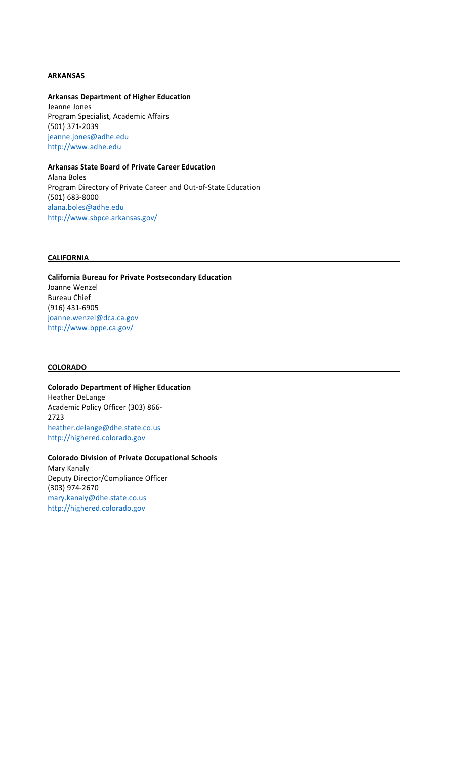#### **ARKANSAS**

**Arkansas Department of Higher Education** Jeanne Jones Program Specialist, Academic Affairs (501) 371-2039 jeanne.jones@adhe.ed[u](http://www.adhe.edu/)

[http://www.adhe.edu](http://www.adhe.edu/)

# **Arkansas State Board of Private Career Education**

Alana Boles Program Directory of Private Career and Out-of-State Education (501) 683-8000 [alana.boles@adhe.edu](mailto:boles@adhe.edu) <http://www.sbpce.arkansas.gov/>

#### **CALIFORNIA**

**California Bureau for Private Postsecondary Education** Joanne Wenzel Bureau Chief (916) 431-6905 [joanne.wenzel@dca.ca.gov](mailto:wenzel@dca.ca.gov) <http://www.bppe.ca.gov/>

## **COLORADO**

**Colorado Department of Higher Education** Heather DeLange Academic Policy Officer (303) 866- 2723 heather.delange@dhe.state.co.us http://highered.colorado.gov

**Colorado Division of Private Occupational Schools** Mary Kanaly Deputy Director/Compliance Officer (303) 974-2670 mary.kanaly@dhe.state.co.us http://highered.colorado.gov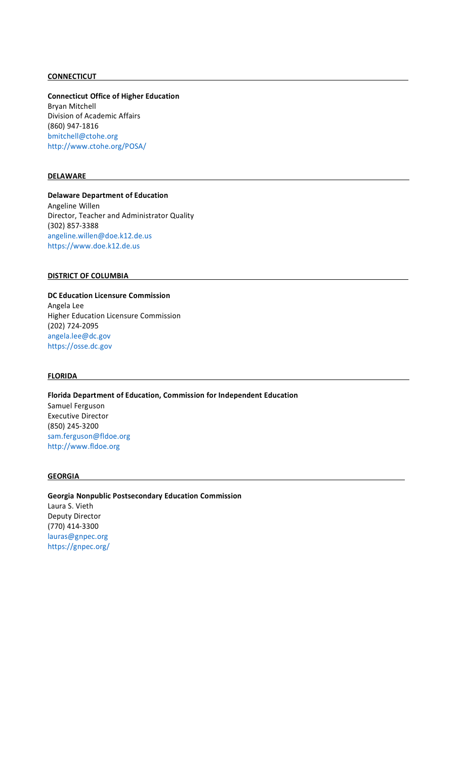## **CONNECTICUT**

**Connecticut Office of Higher Education** Bryan Mitchell Division of Academic Affairs (860) 947-1816 bmitchell@ctohe.or[g](http://www.ctohe.org/POSA/) <http://www.ctohe.org/POSA/>

#### **DELAWARE**

**Delaware Department of Education** Angeline Willen Director, Teacher and Administrator Quality (302) 857-3388 [angeline.willen@doe.k12.de.us](mailto:en@doe.k12.de.us) [https://www.doe.k12.de.us](http://www.doe.k12.de.us/)

#### **DISTRICT OF COLUMBIA**

## **DC Education Licensure Commission** Angela Lee Higher Education Licensure Commission (202) 724-2095 [angela.lee@dc.gov](mailto:lee@dc.gov)  [https://osse.dc.gov](mailto:lee@dc.gov)

#### **FLORIDA**

**Florida Department of Education, Commission for Independent Education** Samuel Ferguson Executive Director (850) 245-3200 [sam.ferguson@fldoe.org](mailto:ferguson@fldoe.org) [http://www.fldoe.org](http://www.fldoe.org/)

## **GEORGIA**

**Georgia Nonpublic Postsecondary Education Commission** Laura S. Vieth Deputy Director (770) 414-3300 lauras@gnpec.org https://gnpec.org/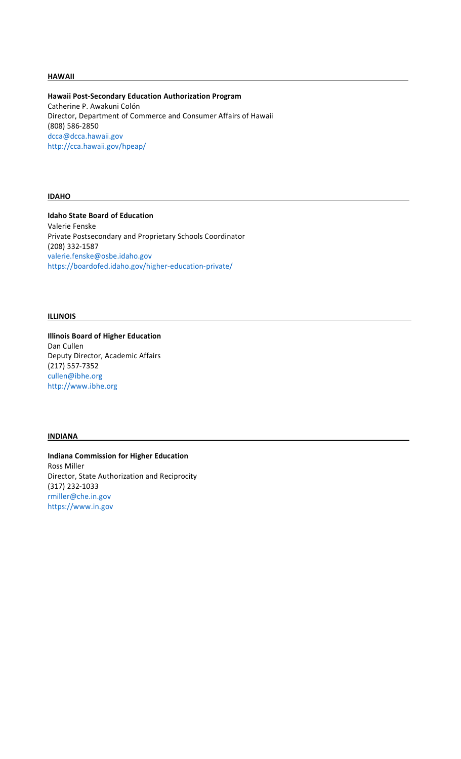#### **HAWAII**

**Hawaii Post-Secondary Education Authorization Program** Catherine P. Awakuni Colón Director, Department of Commerce and Consumer Affairs of Hawaii (808) 586-2850 dcca@dcca.hawaii.go[v](http://cca.hawaii.gov/hpeap/) <http://cca.hawaii.gov/hpeap/>

#### **IDAHO**

**Idaho State Board of Education** Valerie Fenske Private Postsecondary and Proprietary Schools Coordinator (208) 332-1587 [valerie.fenske@osbe.idaho.gov](mailto:fenske@osbe.idaho.gov)  [https://boardofed.idaho.gov/higher-education-private/](mailto:fenske@osbe.idaho.gov)

## **ILLINOIS**

**Illinois Board of Higher Education** Dan Cullen Deputy Director, Academic Affairs (217) 557-7352 cullen@ibhe.or[g](http://www.ibhe.org/) [http://www.ibhe.org](http://www.ibhe.org/)

## **INDIANA**

**Indiana Commission for Higher Education** Ross Miller Director, State Authorization and Reciprocity (317) 232-1033 rmiller@che.in.go[v](http://www.in.gov/) [https://www.in.gov](http://www.in.gov/)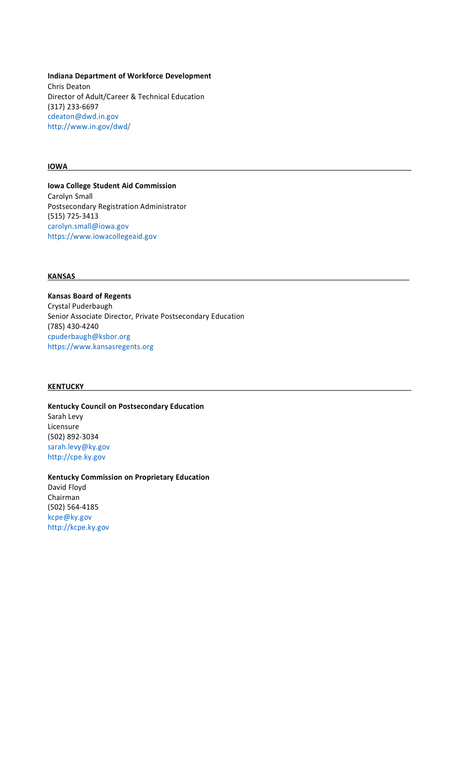**Indiana Department of Workforce Development** Chris Deaton Director of Adult/Career & Technical Education (317) 233-6697 cdeaton@dwd.in.go[v](http://www.in.gov/dwd/) <http://www.in.gov/dwd/>

#### **IOWA**

**Iowa College Student Aid Commission** Carolyn Small Postsecondary Registration Administrator (515) 725-3413 carolyn.small@iowa.go[v](http://www.iowacollegeaid.gov/) [https://www.iowacollegeaid.gov](http://www.iowacollegeaid.gov/)

## **KANSAS**

**Kansas Board of Regents** Crystal Puderbaugh Senior Associate Director, Private Postsecondary Education (785) 430-4240 cpuderbaugh@ksbor.or[g](http://www.kansasregents.org/) [https://www.kansasregents.org](http://www.kansasregents.org/)

## **KENTUCKY**

**Kentucky Council on Postsecondary Education** Sarah Levy Licensure (502) 892-3034 [sarah.levy@ky.gov](mailto:levy@ky.gov)  [http://cpe.ky.gov](mailto:levy@ky.gov)

**Kentucky Commission on Proprietary Education** David Floyd Chairman (502) 564-4185 kcpe@ky.gov http://kcpe.ky.gov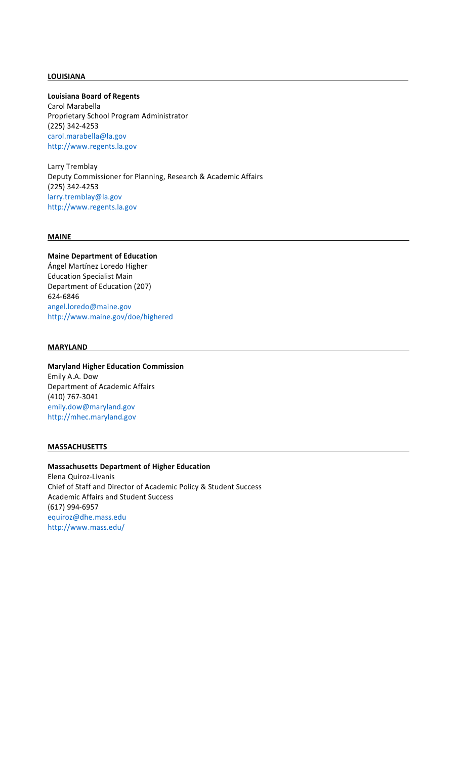## **LOUISIANA**

**Louisiana Board of Regents**

Carol Marabella Proprietary School Program Administrator (225) 342-4253 [carol.marabella@la.gov](mailto:lla@la.gov) [http://www.regents.la.gov](http://www.regents.la.gov/)

Larry Tremblay Deputy Commissioner for Planning, Research & Academic Affairs (225) 342-4253 [larry.tremblay@la.gov](mailto:y@la.gov) [http://www.regents.la.gov](http://www.regents.la.gov/)

## **MAINE**

# **Maine Department of Education** Ángel Martínez Loredo Higher Education Specialist Main

Department of Education (207) 624-6846 [angel.loredo@maine.gov](mailto:@maine.gov) <http://www.maine.gov/doe/highered>

## **MARYLAND**

## **Maryland Higher Education Commission** Emily A.A. Dow Department of Academic Affairs

(410) 767-3041 emily.dow@maryland.gov http://mhec.maryland.gov

#### **MASSACHUSETTS**

# **Massachusetts Department of Higher Education**

Elena Quiroz-Livanis Chief of Staff and Director of Academic Policy & Student Success Academic Affairs and Student Success (617) 994-6957 equiroz@dhe.mass.ed[u](http://www.mass.edu/) <http://www.mass.edu/>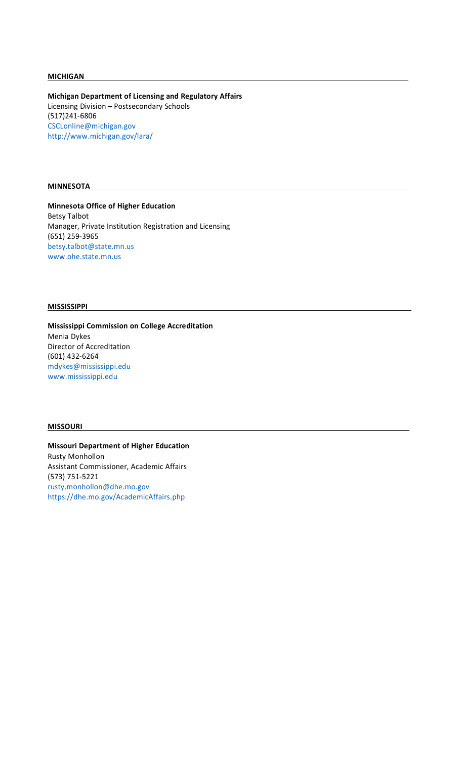#### **MICHIGAN**

**Michigan Department of Licensing and Regulatory Affairs** Licensing Division – Postsecondary Schools (517)241-6806 [CSCLonline@michigan.gov](mailto:CSCLonline@michigan.gov)  [http://www.michigan.gov/lara/](mailto:CSCLonline@michigan.gov)

## **MINNESOTA**

**Minnesota Office of Higher Education** Betsy Talbot Manager, Private Institution Registration and Licensing (651) 259-3965 betsy.talbot@state.mn.us www.ohe.state.mn.us

#### **MISSISSIPPI**

**Mississippi Commission on College Accreditation** Menia Dykes Director of Accreditation (601) 432-6264 mdykes@mississippi.ed[u](http://www.mississippi.edu/) [www.mississippi.edu](http://www.mississippi.edu/)

#### **MISSOURI**

**Missouri Department of Higher Education** Rusty Monhollon Assistant Commissioner, Academic Affairs (573) 751-5221

rusty.monhollon@dhe.mo.gov https://dhe.mo.gov/AcademicAffairs.php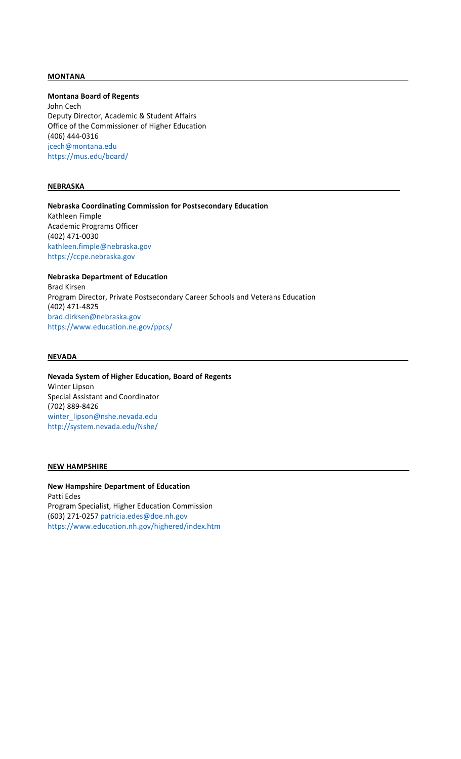#### **MONTANA**

**Montana Board of Regents**

John Cech Deputy Director, Academic & Student Affairs Office of the Commissioner of Higher Education (406) 444-0316 jcech@montana.edu https://mus.edu/board/

#### **NEBRASKA**

**Nebraska Coordinating Commission for Postsecondary Education** Kathleen Fimple Academic Programs Officer (402) 471-0030 kathleen.fimple@nebraska.gov https://ccpe.nebraska.gov

**Nebraska Department of Education** Brad Kirsen Program Director, Private Postsecondary Career Schools and Veterans Education (402) 471-4825 [brad.dirksen@nebraska.gov](mailto:dirksen@nebraska.gov)  [https://www.education.ne.gov/ppcs/](mailto:dirksen@nebraska.gov)

#### **NEVADA**

**Nevada System of Higher Education, Board of Regents** Winter Lipson Special Assistant and Coordinator (702) 889-8426 winter\_lipson@nshe.nevada.edu http://system.nevada.edu/Nshe/

## **NEW HAMPSHIRE**

**New Hampshire Department of Education** Patti Edes Program Specialist, Higher Education Commission (603) 271-0257 patricia.edes@doe.nh.gov https://www.education.nh.gov/highered/index.htm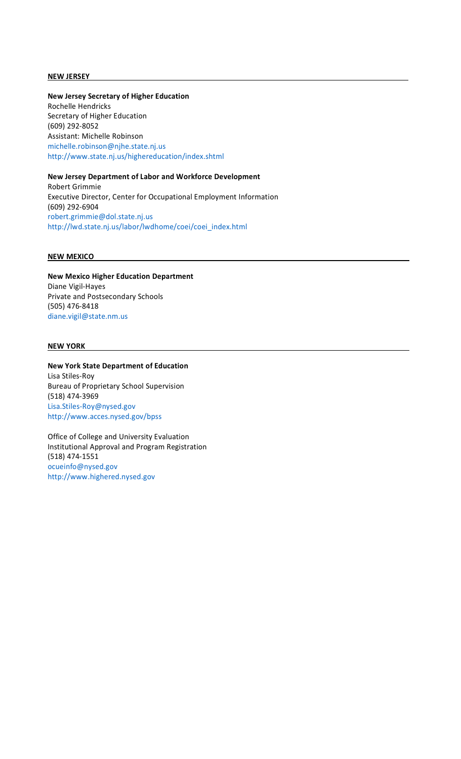#### **NEW JERSEY**

## **New Jersey Secretary of Higher Education**

Rochelle Hendricks Secretary of Higher Education (609) 292-8052 Assistant: Michelle Robinson michelle.robinson@njhe.state.nj.us http://www.state.nj.us/highereducation/index.shtml

# **New Jersey Department of Labor and Workforce Development**

Robert Grimmie Executive Director, Center for Occupational Employment Information (609) 292-6904 [robert.grimmie@dol.state.nj.us](mailto:grimmie@dol.state.nj.us) [http://lwd.state.nj.us/labor/lwdhome/coei/coei\\_index.html](http://lwd.state.nj.us/labor/lwdhome/coei/coei_index.html)

## **NEW MEXICO**

**New Mexico Higher Education Department** Diane Vigil-Hayes Private and Postsecondary Schools (505) 476-8418 diane.vigil@state.nm.us

#### **NEW YORK**

**New York State Department of Education** Lisa Stiles-Roy Bureau of Proprietary School Supervision (518) 474-3969 [Lisa.Stiles-Roy@nysed.gov](mailto:y@nysed.gov) <http://www.acces.nysed.gov/bpss>

Office of College and University Evaluation Institutional Approval and Program Registration (518) 474-1551 [ocueinfo@nysed.gov](mailto:ocueinfo@nysed.gov)  [http://www.highered.nysed.gov](mailto:ocueinfo@nysed.gov)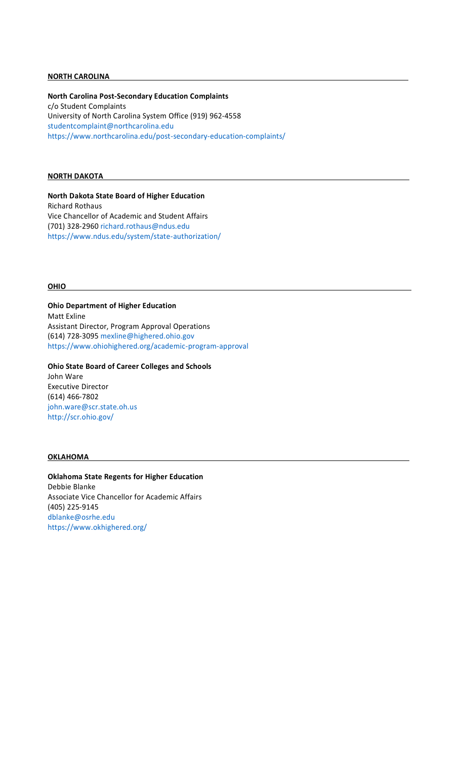#### **NORTH CAROLINA**

**North Carolina Post-Secondary Education Complaints** c/o Student Complaints University of North Carolina System Office (919) 962-4558 studentcomplaint@northcarolina.edu <https://www.northcarolina.edu/post-secondary-education-complaints/>

## **NORTH DAKOTA**

**North Dakota State Board of Higher Education** Richard Rothaus Vice Chancellor of Academic and Student Affairs (701) 328-2960 richard.rothaus@ndus.edu https://www.ndus.edu/system/state-authorization/

#### **OHIO**

**Ohio Department of Higher Education** Matt Exline Assistant Director, Program Approval Operations (614) 728-3095 [mexline@highered.ohio.gov](mailto:e@highered.ohio.gov)  [https://www.ohiohighered.org/academic-program-approval](mailto:e@highered.ohio.gov)

**Ohio State Board of Career Colleges and Schools** John Ware Executive Director (614) 466-7802 john.ware@scr.state.oh.us http://scr.ohio.gov/

#### **OKLAHOMA**

**Oklahoma State Regents for Higher Education** Debbie Blanke Associate Vice Chancellor for Academic Affairs (405) 225-9145 dblanke@osrhe.ed[u](http://www.okhighered.org/) [https://www.okhighered.org/](http://www.okhighered.org/)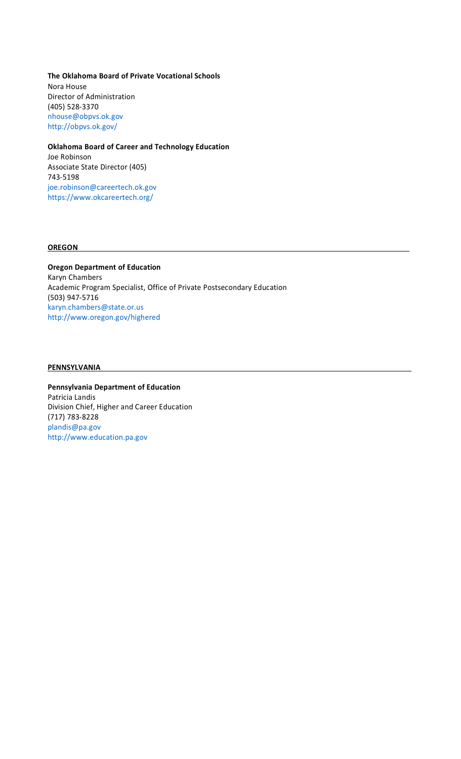**The Oklahoma Board of Private Vocational Schools** Nora House Director of Administration (405) 528-3370 [nhouse@obpvs.ok.gov](mailto:nhouse@obpvs.ok.gov)  [http://obpvs.ok.gov/](mailto:nhouse@obpvs.ok.gov)

## **Oklahoma Board of Career and Technology Education**

Joe Robinson Associate State Director (405) 743-5198 joe.robinson@careertech.ok.go[v](http://www.okcareertech.org/) [https://www.okcareertech.org/](http://www.okcareertech.org/)

#### **OREGON**

**Oregon Department of Education** Karyn Chambers Academic Program Specialist, Office of Private Postsecondary Education (503) 947-5716 [karyn.chambers@state.or.us](mailto:bers@state.or.us) <http://www.oregon.gov/highered>

#### **PENNSYLVANIA**

**Pennsylvania Department of Education** Patricia Landis Division Chief, Higher and Career Education (717) 783-8228 plandis@pa.gov http://www.education.pa.gov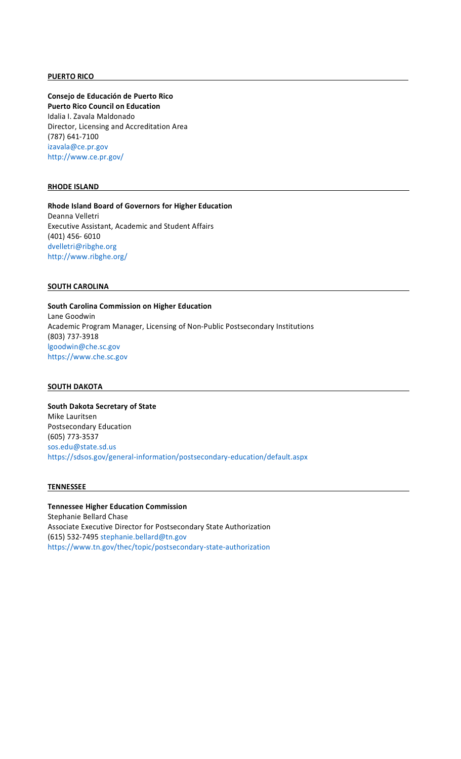#### **PUERTO RICO**

**Consejo de Educación de Puerto Rico Puerto Rico Council on Education**  Idalia I. Zavala Maldonado Director, Licensing and Accreditation Area (787) 641-7100 [izavala@ce.pr.gov](mailto:izavala@ce.pr.gov) <http://www.ce.pr.gov/>

## **RHODE ISLAND**

**Rhode Island Board of Governors for Higher Education** Deanna Velletri Executive Assistant, Academic and Student Affairs (401) 456- 6010 [dvelletri@ribghe.org](mailto:dvelletri@ribghe.org) <http://www.ribghe.org/>

## **SOUTH CAROLINA**

**South Carolina Commission on Higher Education** Lane Goodwin Academic Program Manager, Licensing of Non-Public Postsecondary Institutions (803) 737-3918 [lgoodwin@che.sc.gov](mailto:lgoodwin@che.sc.gov) [https://www.che.sc.gov](http://www.che.sc.gov/)

## **SOUTH DAKOTA**

**South Dakota Secretary of State** Mike Lauritsen Postsecondary Education (605) 773-3537 [sos.edu@state.sd.us](mailto:edu@state.sd.us) https://sdsos.gov/general-information/postsecondary-education/default.aspx

#### **TENNESSEE**

# **Tennessee Higher Education Commission** Stephanie Bellard Chase

Associate Executive Director for Postsecondary State Authorization (615) 532-7495 [stephanie.bellard@tn.gov](mailto:ard@tn.gov)  [https://www.tn.gov/thec/topic/postsecondary-state-authorization](mailto:ard@tn.gov)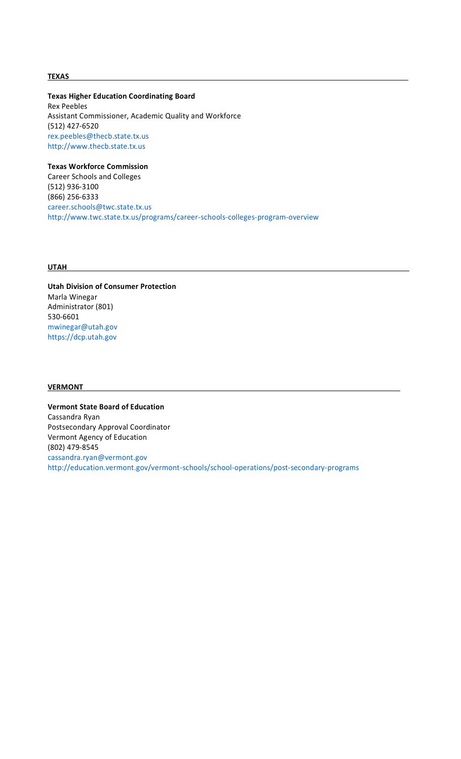## **TEXAS**

**Texas Higher Education Coordinating Board** Rex Peebles Assistant Commissioner, Academic Quality and Workforce (512) 427-6520 rex.peebles@thecb.state.tx.u[s](http://www.thecb.state.tx.us/) [http://www.thecb.state.tx.us](http://www.thecb.state.tx.us/)

**Texas Workforce Commission**  Career Schools and Colleges (512) 936-3100 (866) 256-6333 career.schools@twc.state.tx.us http://www.twc.state.tx.us/programs/career-schools-colleges-program-overview

#### **UTAH**

**Utah Division of Consumer Protection** Marla Winegar Administrator (801) 530-6601 mwinegar@utah.gov https://dcp.utah.gov

#### **VERMONT**

**Vermont State Board of Education** Cassandra Ryan Postsecondary Approval Coordinator Vermont Agency of Education (802) 479-8545 [cassandra.ryan@vermont.gov](mailto:ryan@vermont.gov) http://education.vermont.gov/vermont-schools/school-operations/post-secondary-programs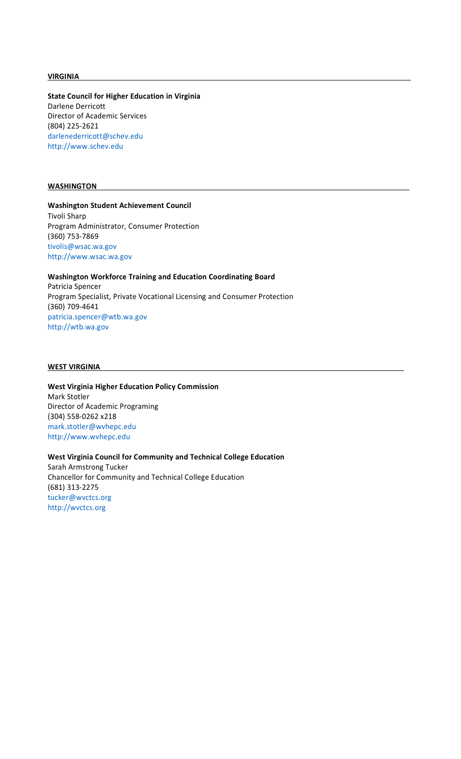#### **VIRGINIA**

**State Council for Higher Education in Virginia** Darlene Derricott Director of Academic Services (804) 225-2621 darlenederricott@schev.ed[u](http://www.schev.edu/) [http://www.schev.edu](http://www.schev.edu/)

#### **WASHINGTON**

## **Washington Student Achievement Council** Tivoli Sharp Program Administrator, Consumer Protection (360) 753-7869 [tivolis@wsac.wa.gov](mailto:tivolis@wsac.wa.gov) [http://www.wsac.wa.gov](http://www.wsac.wa.gov/)

# **Washington Workforce Training and Education Coordinating Board** Patricia Spencer Program Specialist, Private Vocational Licensing and Consumer Protection (360) 709-4641 patricia.spencer@wtb.wa.gov

http://wtb.wa.gov

## **WEST VIRGINIA**

**West Virginia Higher Education Policy Commission** Mark Stotler Director of Academic Programing (304) 558-0262 x218 [mark.stotler@wvhepc.edu](mailto:@wvhepc.edu) [http://www.wvhepc.edu](http://www.wvhepc.edu/)

**West Virginia Council for Community and Technical College Education** Sarah Armstrong Tucker Chancellor for Community and Technical College Education (681) 313-2275 tucker@wvctcs.org http://wvctcs.org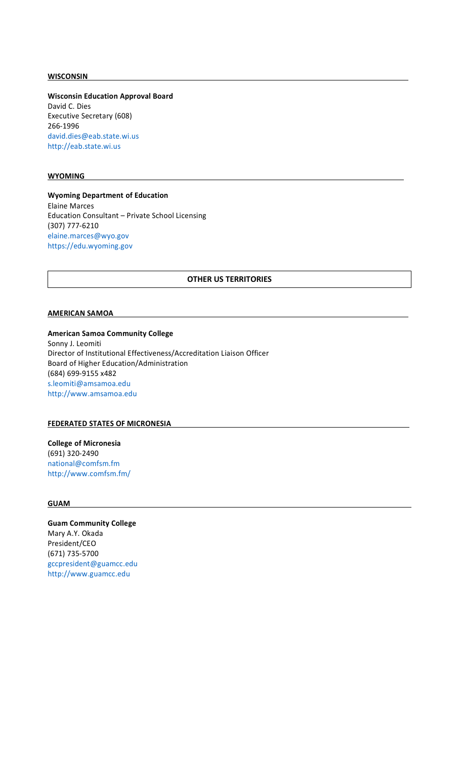#### **WISCONSIN**

**Wisconsin Education Approval Board** David C. Dies Executive Secretary (608) 266-1996 david.dies@eab.state.wi.us http://eab.state.wi.us

## **WYOMING**

**Wyoming Department of Education** Elaine Marces Education Consultant – Private School Licensing (307) 777-6210 [elaine.marces@wyo.gov](mailto:marces@wyo.gov)  [https://edu.wyoming.gov](mailto:marces@wyo.gov)

## **OTHER US TERRITORIES**

#### **AMERICAN SAMOA**

## **American Samoa Community College**

Sonny J. Leomiti Director of Institutional Effectiveness/Accreditation Liaison Officer Board of Higher Education/Administration (684) 699-9155 x482 s.leomiti@amsamoa.ed[u](http://www.amsamoa.edu/) [http://www.amsamoa.edu](http://www.amsamoa.edu/)

# **FEDERATED STATES OF MICRONESIA**

**College of Micronesia** (691) 320-2490 national@comfsm.f[m](http://www.comfsm.fm/) <http://www.comfsm.fm/>

## **GUAM**

**Guam Community College** Mary A.Y. Okada President/CEO (671) 735-5700 gccpresident@guamcc.ed[u](http://www.guamcc.edu/) [http://www.guamcc.edu](http://www.guamcc.edu/)